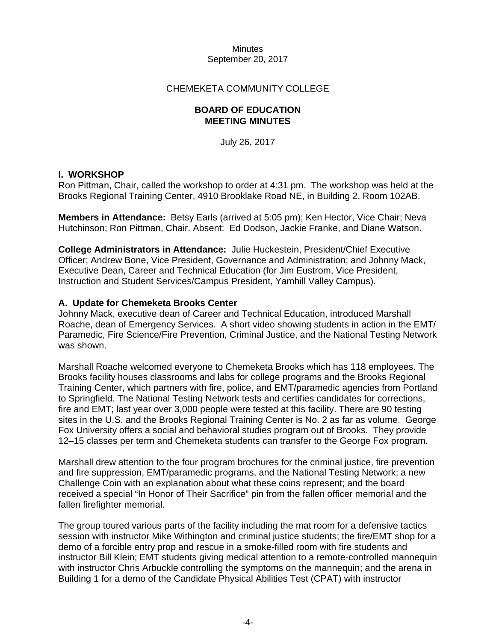### CHEMEKETA COMMUNITY COLLEGE

### **BOARD OF EDUCATION MEETING MINUTES**

July 26, 2017

### **I. WORKSHOP**

Ron Pittman, Chair, called the workshop to order at 4:31 pm. The workshop was held at the Brooks Regional Training Center, 4910 Brooklake Road NE, in Building 2, Room 102AB.

**Members in Attendance:** Betsy Earls (arrived at 5:05 pm); Ken Hector, Vice Chair; Neva Hutchinson; Ron Pittman, Chair. Absent: Ed Dodson, Jackie Franke, and Diane Watson.

**College Administrators in Attendance:** Julie Huckestein, President/Chief Executive Officer; Andrew Bone, Vice President, Governance and Administration; and Johnny Mack, Executive Dean, Career and Technical Education (for Jim Eustrom, Vice President, Instruction and Student Services/Campus President, Yamhill Valley Campus).

### **A. Update for Chemeketa Brooks Center**

Johnny Mack, executive dean of Career and Technical Education, introduced Marshall Roache, dean of Emergency Services. A short video showing students in action in the EMT/ Paramedic, Fire Science/Fire Prevention, Criminal Justice, and the National Testing Network was shown.

Marshall Roache welcomed everyone to Chemeketa Brooks which has 118 employees. The Brooks facility houses classrooms and labs for college programs and the Brooks Regional Training Center, which partners with fire, police, and EMT/paramedic agencies from Portland to Springfield. The National Testing Network tests and certifies candidates for corrections, fire and EMT; last year over 3,000 people were tested at this facility. There are 90 testing sites in the U.S. and the Brooks Regional Training Center is No. 2 as far as volume. George Fox University offers a social and behavioral studies program out of Brooks. They provide 12–15 classes per term and Chemeketa students can transfer to the George Fox program.

Marshall drew attention to the four program brochures for the criminal justice, fire prevention and fire suppression, EMT/paramedic programs, and the National Testing Network; a new Challenge Coin with an explanation about what these coins represent; and the board received a special "In Honor of Their Sacrifice" pin from the fallen officer memorial and the fallen firefighter memorial.

The group toured various parts of the facility including the mat room for a defensive tactics session with instructor Mike Withington and criminal justice students; the fire/EMT shop for a demo of a forcible entry prop and rescue in a smoke-filled room with fire students and instructor Bill Klein; EMT students giving medical attention to a remote-controlled mannequin with instructor Chris Arbuckle controlling the symptoms on the mannequin; and the arena in Building 1 for a demo of the Candidate Physical Abilities Test (CPAT) with instructor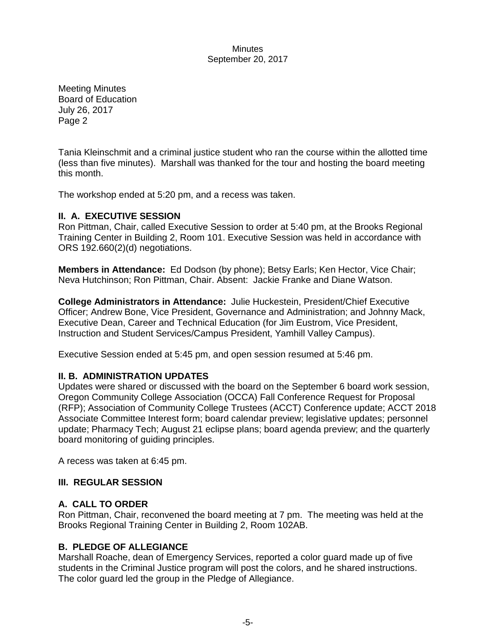Meeting Minutes Board of Education July 26, 2017 Page 2

Tania Kleinschmit and a criminal justice student who ran the course within the allotted time (less than five minutes). Marshall was thanked for the tour and hosting the board meeting this month.

The workshop ended at 5:20 pm, and a recess was taken.

# **II. A. EXECUTIVE SESSION**

Ron Pittman, Chair, called Executive Session to order at 5:40 pm, at the Brooks Regional Training Center in Building 2, Room 101. Executive Session was held in accordance with ORS 192.660(2)(d) negotiations.

**Members in Attendance:** Ed Dodson (by phone); Betsy Earls; Ken Hector, Vice Chair; Neva Hutchinson; Ron Pittman, Chair. Absent: Jackie Franke and Diane Watson.

**College Administrators in Attendance:** Julie Huckestein, President/Chief Executive Officer; Andrew Bone, Vice President, Governance and Administration; and Johnny Mack, Executive Dean, Career and Technical Education (for Jim Eustrom, Vice President, Instruction and Student Services/Campus President, Yamhill Valley Campus).

Executive Session ended at 5:45 pm, and open session resumed at 5:46 pm.

# **II. B. ADMINISTRATION UPDATES**

Updates were shared or discussed with the board on the September 6 board work session, Oregon Community College Association (OCCA) Fall Conference Request for Proposal (RFP); Association of Community College Trustees (ACCT) Conference update; ACCT 2018 Associate Committee Interest form; board calendar preview; legislative updates; personnel update; Pharmacy Tech; August 21 eclipse plans; board agenda preview; and the quarterly board monitoring of guiding principles.

A recess was taken at 6:45 pm.

# **III. REGULAR SESSION**

# **A. CALL TO ORDER**

Ron Pittman, Chair, reconvened the board meeting at 7 pm. The meeting was held at the Brooks Regional Training Center in Building 2, Room 102AB.

# **B. PLEDGE OF ALLEGIANCE**

Marshall Roache, dean of Emergency Services, reported a color guard made up of five students in the Criminal Justice program will post the colors, and he shared instructions. The color guard led the group in the Pledge of Allegiance.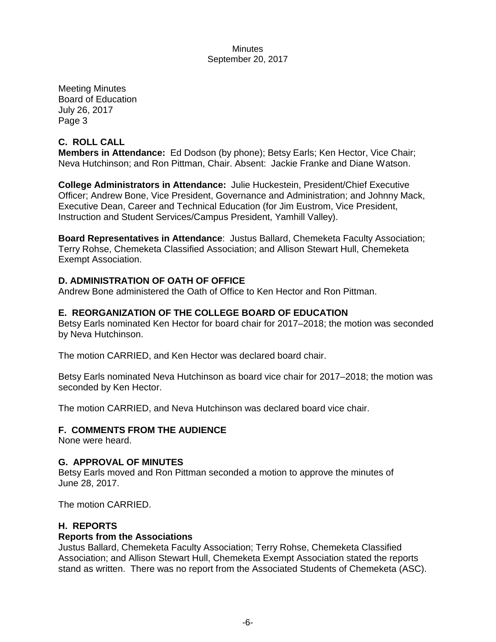Meeting Minutes Board of Education July 26, 2017 Page 3

# **C. ROLL CALL**

**Members in Attendance:** Ed Dodson (by phone); Betsy Earls; Ken Hector, Vice Chair; Neva Hutchinson; and Ron Pittman, Chair. Absent: Jackie Franke and Diane Watson.

**College Administrators in Attendance:** Julie Huckestein, President/Chief Executive Officer; Andrew Bone, Vice President, Governance and Administration; and Johnny Mack, Executive Dean, Career and Technical Education (for Jim Eustrom, Vice President, Instruction and Student Services/Campus President, Yamhill Valley).

**Board Representatives in Attendance**: Justus Ballard, Chemeketa Faculty Association; Terry Rohse, Chemeketa Classified Association; and Allison Stewart Hull, Chemeketa Exempt Association.

# **D. ADMINISTRATION OF OATH OF OFFICE**

Andrew Bone administered the Oath of Office to Ken Hector and Ron Pittman.

# **E. REORGANIZATION OF THE COLLEGE BOARD OF EDUCATION**

Betsy Earls nominated Ken Hector for board chair for 2017–2018; the motion was seconded by Neva Hutchinson.

The motion CARRIED, and Ken Hector was declared board chair.

Betsy Earls nominated Neva Hutchinson as board vice chair for 2017–2018; the motion was seconded by Ken Hector.

The motion CARRIED, and Neva Hutchinson was declared board vice chair.

#### **F. COMMENTS FROM THE AUDIENCE**

None were heard.

#### **G. APPROVAL OF MINUTES**

Betsy Earls moved and Ron Pittman seconded a motion to approve the minutes of June 28, 2017.

The motion CARRIED.

#### **H. REPORTS**

#### **Reports from the Associations**

Justus Ballard, Chemeketa Faculty Association; Terry Rohse, Chemeketa Classified Association; and Allison Stewart Hull, Chemeketa Exempt Association stated the reports stand as written. There was no report from the Associated Students of Chemeketa (ASC).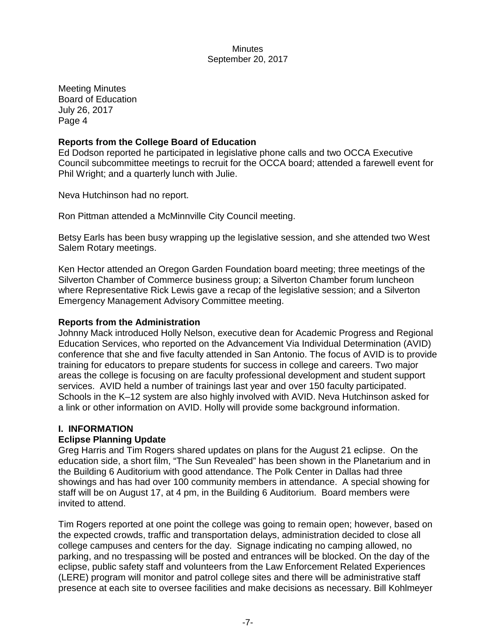Meeting Minutes Board of Education July 26, 2017 Page 4

# **Reports from the College Board of Education**

Ed Dodson reported he participated in legislative phone calls and two OCCA Executive Council subcommittee meetings to recruit for the OCCA board; attended a farewell event for Phil Wright; and a quarterly lunch with Julie.

Neva Hutchinson had no report.

Ron Pittman attended a McMinnville City Council meeting.

Betsy Earls has been busy wrapping up the legislative session, and she attended two West Salem Rotary meetings.

Ken Hector attended an Oregon Garden Foundation board meeting; three meetings of the Silverton Chamber of Commerce business group; a Silverton Chamber forum luncheon where Representative Rick Lewis gave a recap of the legislative session; and a Silverton Emergency Management Advisory Committee meeting.

#### **Reports from the Administration**

Johnny Mack introduced Holly Nelson, executive dean for Academic Progress and Regional Education Services, who reported on the Advancement Via Individual Determination (AVID) conference that she and five faculty attended in San Antonio. The focus of AVID is to provide training for educators to prepare students for success in college and careers. Two major areas the college is focusing on are faculty professional development and student support services. AVID held a number of trainings last year and over 150 faculty participated. Schools in the K–12 system are also highly involved with AVID. Neva Hutchinson asked for a link or other information on AVID. Holly will provide some background information.

# **I. INFORMATION**

# **Eclipse Planning Update**

Greg Harris and Tim Rogers shared updates on plans for the August 21 eclipse. On the education side, a short film, "The Sun Revealed" has been shown in the Planetarium and in the Building 6 Auditorium with good attendance. The Polk Center in Dallas had three showings and has had over 100 community members in attendance. A special showing for staff will be on August 17, at 4 pm, in the Building 6 Auditorium. Board members were invited to attend.

Tim Rogers reported at one point the college was going to remain open; however, based on the expected crowds, traffic and transportation delays, administration decided to close all college campuses and centers for the day. Signage indicating no camping allowed, no parking, and no trespassing will be posted and entrances will be blocked. On the day of the eclipse, public safety staff and volunteers from the Law Enforcement Related Experiences (LERE) program will monitor and patrol college sites and there will be administrative staff presence at each site to oversee facilities and make decisions as necessary. Bill Kohlmeyer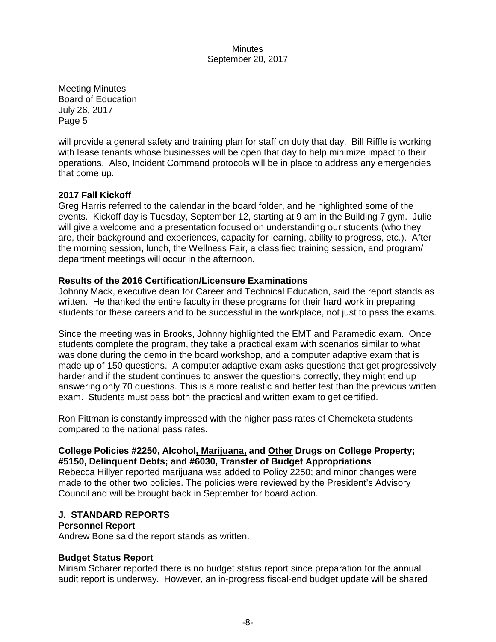Meeting Minutes Board of Education July 26, 2017 Page 5

will provide a general safety and training plan for staff on duty that day. Bill Riffle is working with lease tenants whose businesses will be open that day to help minimize impact to their operations. Also, Incident Command protocols will be in place to address any emergencies that come up.

# **2017 Fall Kickoff**

Greg Harris referred to the calendar in the board folder, and he highlighted some of the events. Kickoff day is Tuesday, September 12, starting at 9 am in the Building 7 gym. Julie will give a welcome and a presentation focused on understanding our students (who they are, their background and experiences, capacity for learning, ability to progress, etc.). After the morning session, lunch, the Wellness Fair, a classified training session, and program/ department meetings will occur in the afternoon.

### **Results of the 2016 Certification/Licensure Examinations**

Johnny Mack, executive dean for Career and Technical Education, said the report stands as written. He thanked the entire faculty in these programs for their hard work in preparing students for these careers and to be successful in the workplace, not just to pass the exams.

Since the meeting was in Brooks, Johnny highlighted the EMT and Paramedic exam. Once students complete the program, they take a practical exam with scenarios similar to what was done during the demo in the board workshop, and a computer adaptive exam that is made up of 150 questions. A computer adaptive exam asks questions that get progressively harder and if the student continues to answer the questions correctly, they might end up answering only 70 questions. This is a more realistic and better test than the previous written exam. Students must pass both the practical and written exam to get certified.

Ron Pittman is constantly impressed with the higher pass rates of Chemeketa students compared to the national pass rates.

### **College Policies #2250, Alcohol, Marijuana, and Other Drugs on College Property; #5150, Delinquent Debts; and #6030, Transfer of Budget Appropriations**

Rebecca Hillyer reported marijuana was added to Policy 2250; and minor changes were made to the other two policies. The policies were reviewed by the President's Advisory Council and will be brought back in September for board action.

#### **J. STANDARD REPORTS**

#### **Personnel Report**

Andrew Bone said the report stands as written.

# **Budget Status Report**

Miriam Scharer reported there is no budget status report since preparation for the annual audit report is underway. However, an in-progress fiscal-end budget update will be shared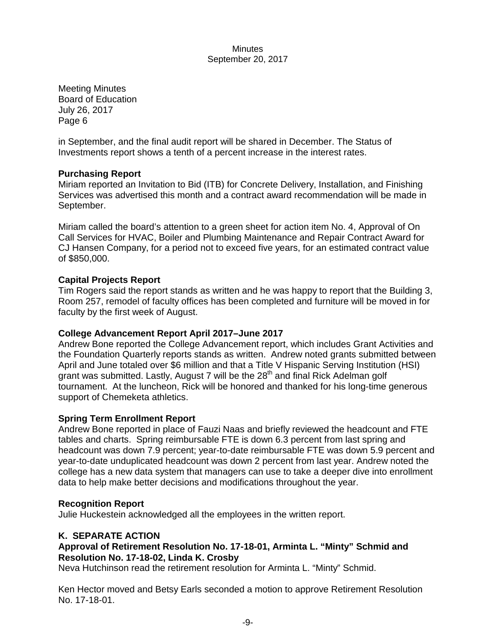Meeting Minutes Board of Education July 26, 2017 Page 6

in September, and the final audit report will be shared in December. The Status of Investments report shows a tenth of a percent increase in the interest rates.

# **Purchasing Report**

Miriam reported an Invitation to Bid (ITB) for Concrete Delivery, Installation, and Finishing Services was advertised this month and a contract award recommendation will be made in September.

Miriam called the board's attention to a green sheet for action item No. 4, Approval of On Call Services for HVAC, Boiler and Plumbing Maintenance and Repair Contract Award for CJ Hansen Company, for a period not to exceed five years, for an estimated contract value of \$850,000.

# **Capital Projects Report**

Tim Rogers said the report stands as written and he was happy to report that the Building 3, Room 257, remodel of faculty offices has been completed and furniture will be moved in for faculty by the first week of August.

# **College Advancement Report April 2017–June 2017**

Andrew Bone reported the College Advancement report, which includes Grant Activities and the Foundation Quarterly reports stands as written. Andrew noted grants submitted between April and June totaled over \$6 million and that a Title V Hispanic Serving Institution (HSI) grant was submitted. Lastly, August 7 will be the  $28<sup>th</sup>$  and final Rick Adelman golf tournament. At the luncheon, Rick will be honored and thanked for his long-time generous support of Chemeketa athletics.

# **Spring Term Enrollment Report**

Andrew Bone reported in place of Fauzi Naas and briefly reviewed the headcount and FTE tables and charts. Spring reimbursable FTE is down 6.3 percent from last spring and headcount was down 7.9 percent; year-to-date reimbursable FTE was down 5.9 percent and year-to-date unduplicated headcount was down 2 percent from last year. Andrew noted the college has a new data system that managers can use to take a deeper dive into enrollment data to help make better decisions and modifications throughout the year.

# **Recognition Report**

Julie Huckestein acknowledged all the employees in the written report.

# **K. SEPARATE ACTION**

# **Approval of Retirement Resolution No. 17-18-01, Arminta L. "Minty" Schmid and Resolution No. 17-18-02, Linda K. Crosby**

Neva Hutchinson read the retirement resolution for Arminta L. "Minty" Schmid.

Ken Hector moved and Betsy Earls seconded a motion to approve Retirement Resolution No. 17-18-01.